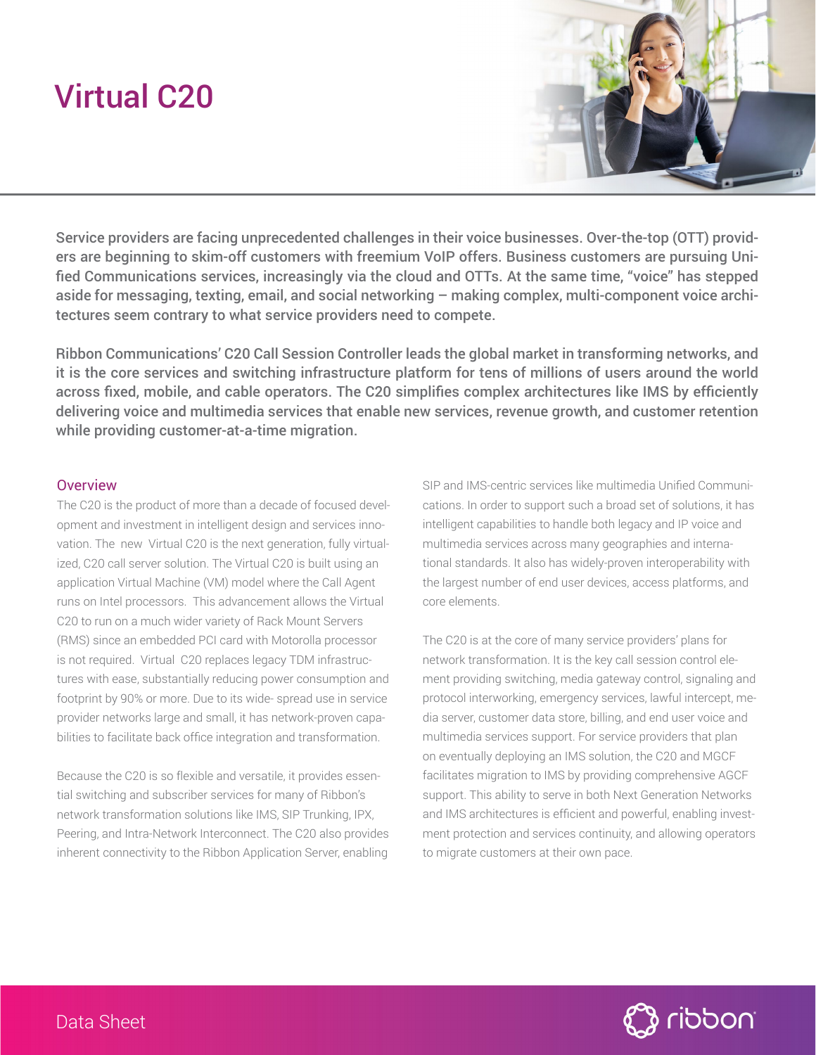# Virtual C20



Service providers are facing unprecedented challenges in their voice businesses. Over-the-top (OTT) providers are beginning to skim-off customers with freemium VoIP offers. Business customers are pursuing Unified Communications services, increasingly via the cloud and OTTs. At the same time, "voice" has stepped aside for messaging, texting, email, and social networking – making complex, multi-component voice architectures seem contrary to what service providers need to compete.

Ribbon Communications' C20 Call Session Controller leads the global market in transforming networks, and it is the core services and switching infrastructure platform for tens of millions of users around the world across fixed, mobile, and cable operators. The C20 simplifies complex architectures like IMS by efficiently delivering voice and multimedia services that enable new services, revenue growth, and customer retention while providing customer-at-a-time migration.

#### **Overview**

The C20 is the product of more than a decade of focused development and investment in intelligent design and services innovation. The new Virtual C20 is the next generation, fully virtualized, C20 call server solution. The Virtual C20 is built using an application Virtual Machine (VM) model where the Call Agent runs on Intel processors. This advancement allows the Virtual C20 to run on a much wider variety of Rack Mount Servers (RMS) since an embedded PCI card with Motorolla processor is not required. Virtual C20 replaces legacy TDM infrastructures with ease, substantially reducing power consumption and footprint by 90% or more. Due to its wide- spread use in service provider networks large and small, it has network-proven capabilities to facilitate back office integration and transformation.

Because the C20 is so flexible and versatile, it provides essential switching and subscriber services for many of Ribbon's network transformation solutions like IMS, SIP Trunking, IPX, Peering, and Intra-Network Interconnect. The C20 also provides inherent connectivity to the Ribbon Application Server, enabling

SIP and IMS-centric services like multimedia Unified Communications. In order to support such a broad set of solutions, it has intelligent capabilities to handle both legacy and IP voice and multimedia services across many geographies and international standards. It also has widely-proven interoperability with the largest number of end user devices, access platforms, and core elements.

The C20 is at the core of many service providers' plans for network transformation. It is the key call session control element providing switching, media gateway control, signaling and protocol interworking, emergency services, lawful intercept, media server, customer data store, billing, and end user voice and multimedia services support. For service providers that plan on eventually deploying an IMS solution, the C20 and MGCF facilitates migration to IMS by providing comprehensive AGCF support. This ability to serve in both Next Generation Networks and IMS architectures is efficient and powerful, enabling investment protection and services continuity, and allowing operators to migrate customers at their own pace.

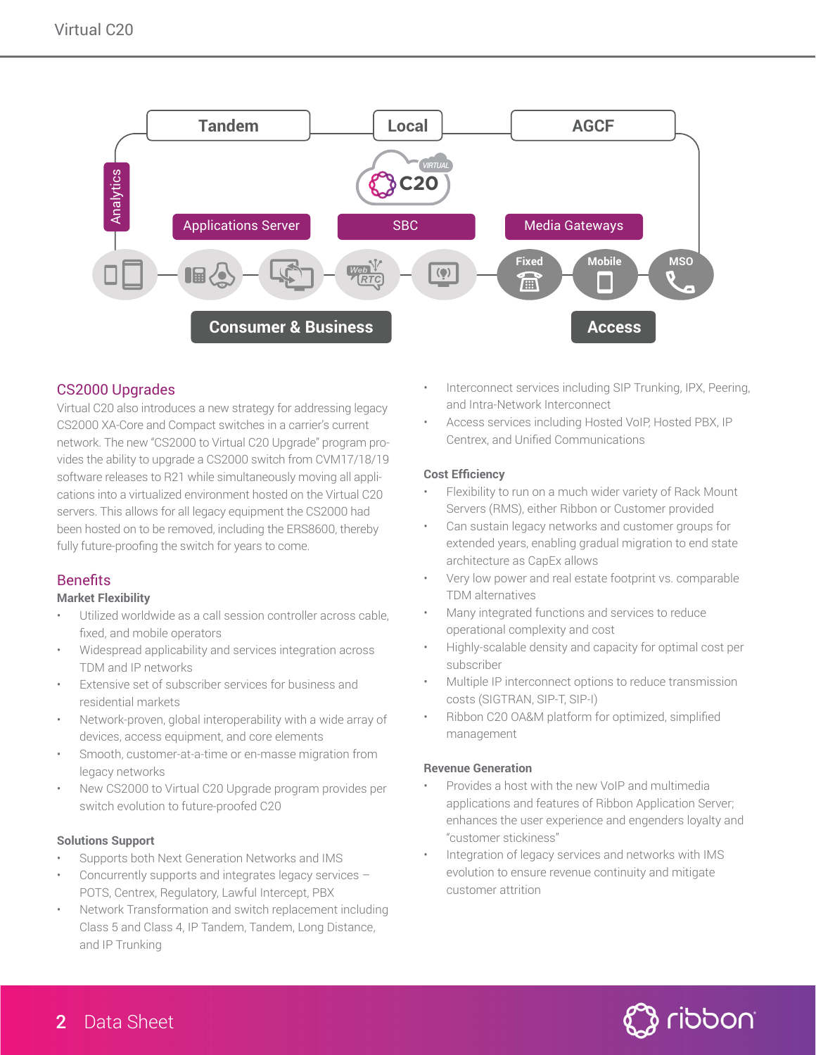

# CS2000 Upgrades

Virtual C20 also introduces a new strategy for addressing legacy CS2000 XA-Core and Compact switches in a carrier's current network. The new "CS2000 to Virtual C20 Upgrade" program provides the ability to upgrade a CS2000 switch from CVM17/18/19 software releases to R21 while simultaneously moving all applications into a virtualized environment hosted on the Virtual C20 servers. This allows for all legacy equipment the CS2000 had been hosted on to be removed, including the ERS8600, thereby fully future-proofing the switch for years to come.

# Benefits

#### **Market Flexibility**

- Utilized worldwide as a call session controller across cable, fixed, and mobile operators
- Widespread applicability and services integration across TDM and IP networks
- Extensive set of subscriber services for business and residential markets
- Network-proven, global interoperability with a wide array of devices, access equipment, and core elements
- Smooth, customer-at-a-time or en-masse migration from legacy networks
- New CS2000 to Virtual C20 Upgrade program provides per switch evolution to future-proofed C20

#### **Solutions Support**

- Supports both Next Generation Networks and IMS
- Concurrently supports and integrates legacy services POTS, Centrex, Regulatory, Lawful Intercept, PBX
- Network Transformation and switch replacement including Class 5 and Class 4, IP Tandem, Tandem, Long Distance, and IP Trunking
- Interconnect services including SIP Trunking, IPX, Peering, and Intra-Network Interconnect
- Access services including Hosted VoIP, Hosted PBX, IP Centrex, and Unified Communications

#### **Cost Efficiency**

- Flexibility to run on a much wider variety of Rack Mount Servers (RMS), either Ribbon or Customer provided
- Can sustain legacy networks and customer groups for extended years, enabling gradual migration to end state architecture as CapEx allows
- Very low power and real estate footprint vs. comparable TDM alternatives
- Many integrated functions and services to reduce operational complexity and cost
- Highly-scalable density and capacity for optimal cost per subscriber
- Multiple IP interconnect options to reduce transmission costs (SIGTRAN, SIP-T, SIP-I)
- Ribbon C20 OA&M platform for optimized, simplified management

#### **Revenue Generation**

- Provides a host with the new VoIP and multimedia applications and features of Ribbon Application Server; enhances the user experience and engenders loyalty and "customer stickiness"
- Integration of legacy services and networks with IMS evolution to ensure revenue continuity and mitigate customer attrition

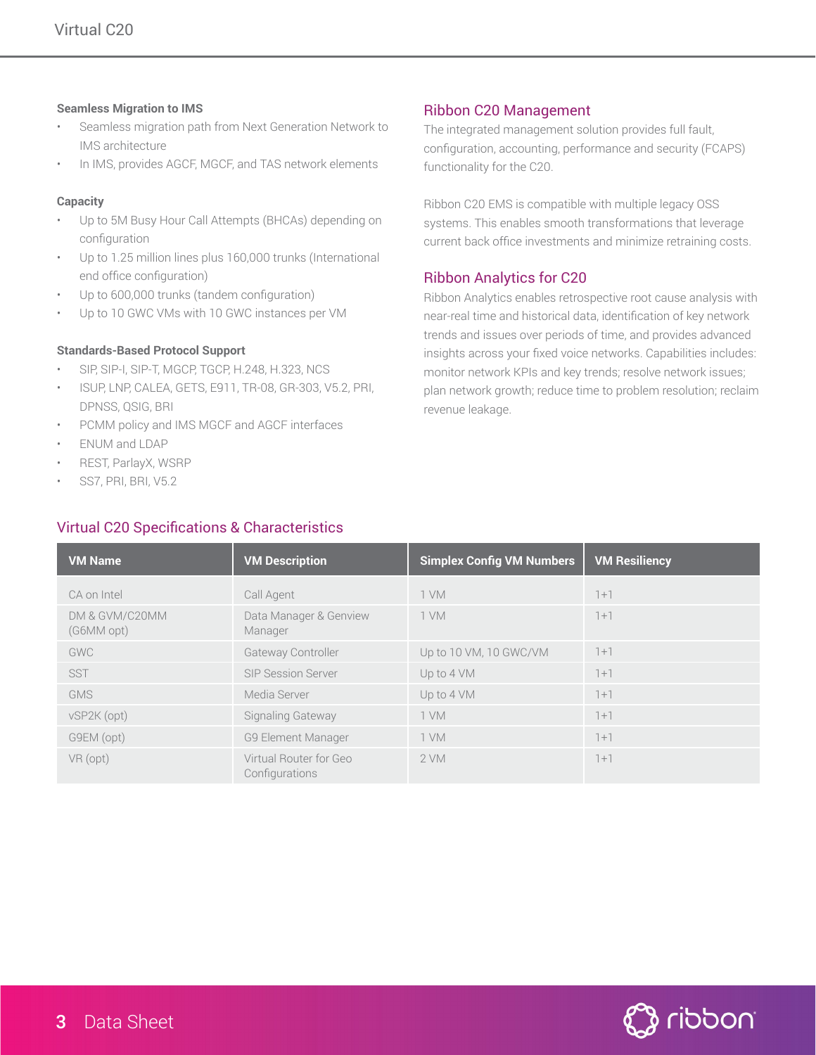#### **Seamless Migration to IMS**

- Seamless migration path from Next Generation Network to IMS architecture
- In IMS, provides AGCF, MGCF, and TAS network elements

## **Capacity**

- Up to 5M Busy Hour Call Attempts (BHCAs) depending on configuration
- Up to 1.25 million lines plus 160,000 trunks (International end office configuration)
- Up to 600,000 trunks (tandem configuration)
- Up to 10 GWC VMs with 10 GWC instances per VM

# **Standards-Based Protocol Support**

- SIP, SIP-I, SIP-T, MGCP, TGCP, H.248, H.323, NCS
- ISUP, LNP, CALEA, GETS, E911, TR-08, GR-303, V5.2, PRI, DPNSS, QSIG, BRI
- PCMM policy and IMS MGCF and AGCF interfaces
- ENUM and LDAP
- REST, ParlayX, WSRP
- SS7, PRI, BRI, V5.2

# Virtual C20 Specifications & Characteristics

## Ribbon C20 Management

The integrated management solution provides full fault, configuration, accounting, performance and security (FCAPS) functionality for the C20.

Ribbon C20 EMS is compatible with multiple legacy OSS systems. This enables smooth transformations that leverage current back office investments and minimize retraining costs.

# Ribbon Analytics for C20

Ribbon Analytics enables retrospective root cause analysis with near-real time and historical data, identification of key network trends and issues over periods of time, and provides advanced insights across your fixed voice networks. Capabilities includes: monitor network KPIs and key trends; resolve network issues; plan network growth; reduce time to problem resolution; reclaim revenue leakage.

| <b>VM Name</b>               | <b>VM Description</b>                    | <b>Simplex Config VM Numbers</b> | <b>VM Resiliency</b> |
|------------------------------|------------------------------------------|----------------------------------|----------------------|
| CA on Intel                  | Call Agent                               | 1 VM                             | $1+1$                |
| DM & GVM/C20MM<br>(G6MM opt) | Data Manager & Genview<br>Manager        | 1 VM                             | $1+1$                |
| GWC                          | Gateway Controller                       | Up to 10 VM, 10 GWC/VM           | $1+1$                |
| <b>SST</b>                   | <b>SIP Session Server</b>                | Up to 4 VM                       | $1+1$                |
| <b>GMS</b>                   | Media Server                             | Up to 4 VM                       | $1+1$                |
| vSP2K (opt)                  | Signaling Gateway                        | 1 VM                             | $1+1$                |
| G9EM (opt)                   | <b>G9 Element Manager</b>                | 1 VM                             | $1+1$                |
| VR (opt)                     | Virtual Router for Geo<br>Configurations | 2 VM                             | $1+1$                |